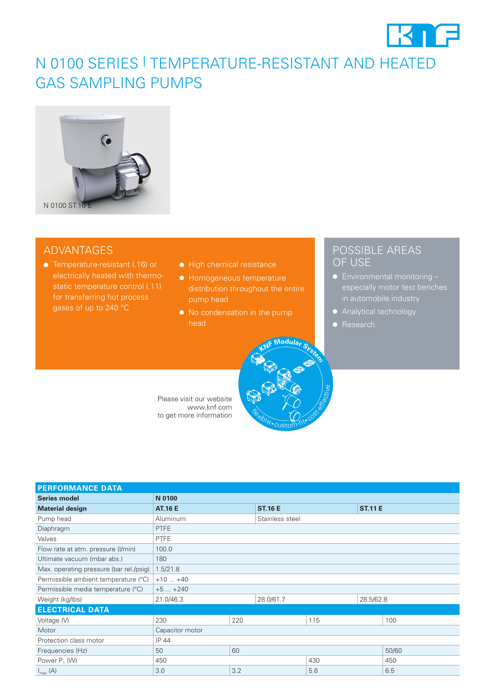

## N 0100 SERIES | TEMPERATURE-RESISTANT AND HEATED GAS SAMPLING PUMPS



### ADVANTAGES

- Temperature-resistant (.16) or gases of up to 240 °C
- High chemical resistance
- Homogeneous temperature distribution throughout the entire
- head

**Flexible** 

custom-fit• cost-effective

**<sup>K</sup>N<sup>F</sup> <sup>M</sup>odula<sup>r</sup> <sup>S</sup>yste<sup>m</sup>**

### POSSIBLE AREAS OF USE

- especially motor test benches in automobile industry
- Analytical technology
- Research

Please visit our website www.knf.com to get more information

| <b>PERFORMANCE DATA</b>                 |                 |     |                 |     |                |       |
|-----------------------------------------|-----------------|-----|-----------------|-----|----------------|-------|
| <b>Series model</b>                     | N 0100          |     |                 |     |                |       |
| <b>Material design</b>                  | <b>AT.16 E</b>  |     | <b>ST.16 E</b>  |     | <b>ST.11 E</b> |       |
| Pump head                               | Aluminum        |     | Stainless steel |     |                |       |
| Diaphragm                               | <b>PTFE</b>     |     |                 |     |                |       |
| Valves                                  | <b>PTFE</b>     |     |                 |     |                |       |
| Flow rate at atm. pressure (I/min)      | 100.0           |     |                 |     |                |       |
| Ultimate vacuum (mbar abs.)             | 180             |     |                 |     |                |       |
| Max. operating pressure (bar rel./psig) | 1.5/21.8        |     |                 |     |                |       |
| Permissible ambient temperature (°C)    | $+10+40$        |     |                 |     |                |       |
| Permissible media temperature (°C)      | $+5+240$        |     |                 |     |                |       |
| Weight (kg/lbs)                         | 21.0/46.3       |     | 28.0/61.7       |     | 28.5/62.8      |       |
| <b>ELECTRICAL DATA</b>                  |                 |     |                 |     |                |       |
| Voltage (V)                             | 230             | 220 |                 | 115 |                | 100   |
| Motor                                   | Capacitor motor |     |                 |     |                |       |
| Protection class motor                  | IP 44           |     |                 |     |                |       |
| Frequencies (Hz)                        | 50              | 60  |                 |     |                | 50/60 |
| Power $P_1$ (W)                         | 450             |     |                 | 430 |                | 450   |
| $I_{\text{max}}(A)$                     | 3.0             | 3.2 |                 | 5.6 |                | 6.5   |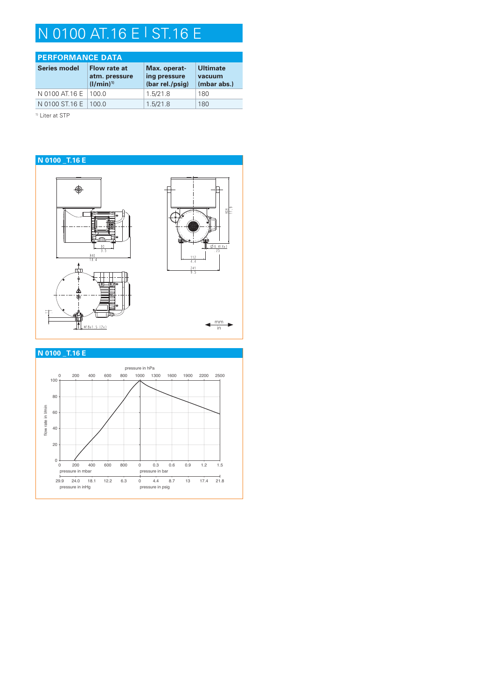# N 0100 AT.16 E | ST.16 E

| <b>PERFORMANCE DATA</b> |                                                |                                                 |                                          |  |  |
|-------------------------|------------------------------------------------|-------------------------------------------------|------------------------------------------|--|--|
| <b>Series model</b>     | Flow rate at<br>atm. pressure<br>$(I/min)^{1}$ | Max. operat-<br>ing pressure<br>(bar rel./psig) | <b>Ultimate</b><br>vacuum<br>(mbar abs.) |  |  |
| N 0100 AT 16 E          | 100 Q                                          | 1.5/21.8                                        | 180                                      |  |  |
| N 0100 ST.16 E   100.0  |                                                | 1.5/21.8                                        | 180                                      |  |  |

<sup>1)</sup> Liter at STP



### **N 0100 \_T.16 E**

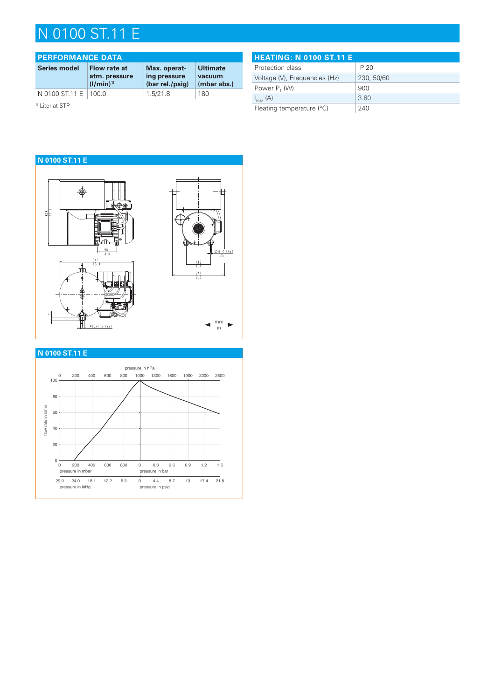## N 0100 ST.11 E

| <b>PERFORMANCE DATA</b>    |                                                |                                                 |                                          |  |  |
|----------------------------|------------------------------------------------|-------------------------------------------------|------------------------------------------|--|--|
| <b>Series model</b>        | Flow rate at<br>atm. pressure<br>$(I/min)^{1}$ | Max. operat-<br>ing pressure<br>(bar rel./psig) | <b>Ultimate</b><br>vacuum<br>(mbar abs.) |  |  |
| N 0100 ST.11 E             | 100 Q                                          | 1.5/21.8                                        | 180                                      |  |  |
| <sup>1)</sup> Liter at STP |                                                |                                                 |                                          |  |  |

**HEATING: N 0100 ST.11 E** Protection class Protection 20 Voltage (V), Frequencies (Hz) 230, 50/60 Power  $P_1$  (W) 900  $I_{\text{max}}(A)$  3.80 Heating temperature (°C) 240



### **N 0100 ST.11 E**